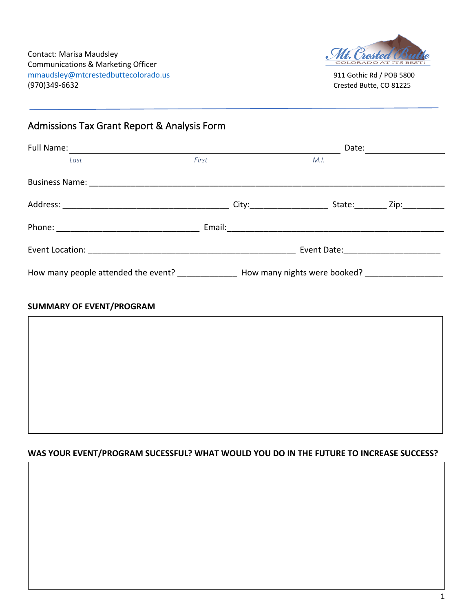

## Admissions Tax Grant Report & Analysis Form

| Full Name:<br>Date: $\qquad \qquad \_$ |                                                                  |  |      |  |
|----------------------------------------|------------------------------------------------------------------|--|------|--|
| Last                                   | First                                                            |  | M.I. |  |
|                                        |                                                                  |  |      |  |
|                                        |                                                                  |  |      |  |
|                                        |                                                                  |  |      |  |
|                                        | Event Date: ____________________                                 |  |      |  |
|                                        | How many people attended the event? How many nights were booked? |  |      |  |
| <b>SUMMARY OF EVENT/PROGRAM</b>        |                                                                  |  |      |  |

## **WAS YOUR EVENT/PROGRAM SUCESSFUL? WHAT WOULD YOU DO IN THE FUTURE TO INCREASE SUCCESS?**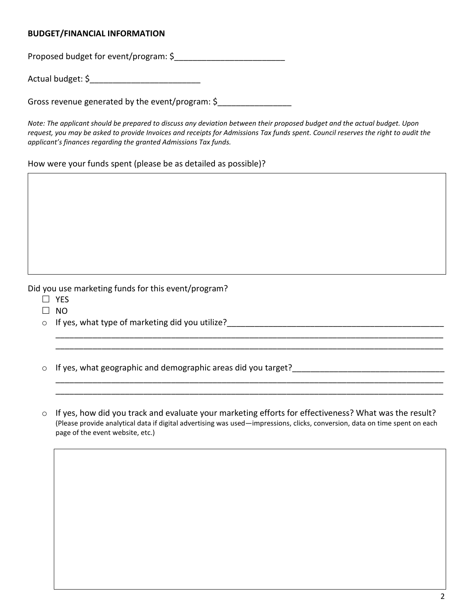## **BUDGET/FINANCIAL INFORMATION**

Proposed budget for event/program: \$

Actual budget: \$\_\_\_\_\_\_\_\_\_\_\_\_\_\_\_\_\_\_\_\_\_\_\_\_

Gross revenue generated by the event/program: \$\_\_\_\_\_\_\_\_\_\_\_\_\_\_\_\_

*Note: The applicant should be prepared to discuss any deviation between their proposed budget and the actual budget. Upon request, you may be asked to provide Invoices and receipts for Admissions Tax funds spent. Council reserves the right to audit the applicant's finances regarding the granted Admissions Tax funds.*

How were your funds spent (please be as detailed as possible)?

Did you use marketing funds for this event/program?

- $\square$  YES
- $\square$  NO
- $\circ$  If yes, what type of marketing did you utilize?
- $\circ$  If yes, what geographic and demographic areas did you target?

 $\frac{1}{2}$  ,  $\frac{1}{2}$  ,  $\frac{1}{2}$  ,  $\frac{1}{2}$  ,  $\frac{1}{2}$  ,  $\frac{1}{2}$  ,  $\frac{1}{2}$  ,  $\frac{1}{2}$  ,  $\frac{1}{2}$  ,  $\frac{1}{2}$  ,  $\frac{1}{2}$  ,  $\frac{1}{2}$  ,  $\frac{1}{2}$  ,  $\frac{1}{2}$  ,  $\frac{1}{2}$  ,  $\frac{1}{2}$  ,  $\frac{1}{2}$  ,  $\frac{1}{2}$  ,  $\frac{1$ 

o If yes, how did you track and evaluate your marketing efforts for effectiveness? What was the result? (Please provide analytical data if digital advertising was used—impressions, clicks, conversion, data on time spent on each page of the event website, etc.)

\_\_\_\_\_\_\_\_\_\_\_\_\_\_\_\_\_\_\_\_\_\_\_\_\_\_\_\_\_\_\_\_\_\_\_\_\_\_\_\_\_\_\_\_\_\_\_\_\_\_\_\_\_\_\_\_\_\_\_\_\_\_\_\_\_\_\_\_\_\_\_\_\_\_\_\_\_\_\_\_\_\_\_\_ \_\_\_\_\_\_\_\_\_\_\_\_\_\_\_\_\_\_\_\_\_\_\_\_\_\_\_\_\_\_\_\_\_\_\_\_\_\_\_\_\_\_\_\_\_\_\_\_\_\_\_\_\_\_\_\_\_\_\_\_\_\_\_\_\_\_\_\_\_\_\_\_\_\_\_\_\_\_\_\_\_\_\_\_

\_\_\_\_\_\_\_\_\_\_\_\_\_\_\_\_\_\_\_\_\_\_\_\_\_\_\_\_\_\_\_\_\_\_\_\_\_\_\_\_\_\_\_\_\_\_\_\_\_\_\_\_\_\_\_\_\_\_\_\_\_\_\_\_\_\_\_\_\_\_\_\_\_\_\_\_\_\_\_\_\_\_\_\_